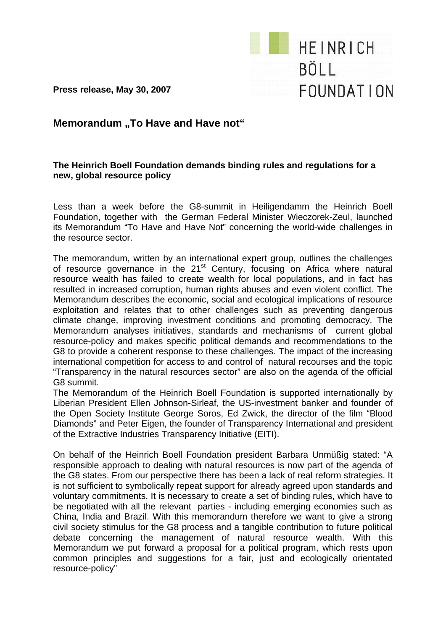

**Press release, May 30, 2007** 

## **Memorandum ..To Have and Have not**"

## **The Heinrich Boell Foundation demands binding rules and regulations for a new, global resource policy**

Less than a week before the G8-summit in Heiligendamm the Heinrich Boell Foundation, together with the German Federal Minister Wieczorek-Zeul, launched its Memorandum "To Have and Have Not" concerning the world-wide challenges in the resource sector.

The memorandum, written by an international expert group, outlines the challenges of resource governance in the 21st Century, focusing on Africa where natural resource wealth has failed to create wealth for local populations, and in fact has resulted in increased corruption, human rights abuses and even violent conflict. The Memorandum describes the economic, social and ecological implications of resource exploitation and relates that to other challenges such as preventing dangerous climate change, improving investment conditions and promoting democracy. The Memorandum analyses initiatives, standards and mechanisms of current global resource-policy and makes specific political demands and recommendations to the G8 to provide a coherent response to these challenges. The impact of the increasing international competition for access to and control of natural recourses and the topic "Transparency in the natural resources sector" are also on the agenda of the official G8 summit.

The Memorandum of the Heinrich Boell Foundation is supported internationally by Liberian President Ellen Johnson-Sirleaf, the US-investment banker and founder of the Open Society Institute George Soros, Ed Zwick, the director of the film "Blood Diamonds" and Peter Eigen, the founder of Transparency International and president of the Extractive Industries Transparency Initiative (EITI).

On behalf of the Heinrich Boell Foundation president Barbara Unmüßig stated: "A responsible approach to dealing with natural resources is now part of the agenda of the G8 states. From our perspective there has been a lack of real reform strategies. It is not sufficient to symbolically repeat support for already agreed upon standards and voluntary commitments. It is necessary to create a set of binding rules, which have to be negotiated with all the relevant parties - including emerging economies such as China, India and Brazil. With this memorandum therefore we want to give a strong civil society stimulus for the G8 process and a tangible contribution to future political debate concerning the management of natural resource wealth. With this Memorandum we put forward a proposal for a political program, which rests upon common principles and suggestions for a fair, just and ecologically orientated resource-policy"